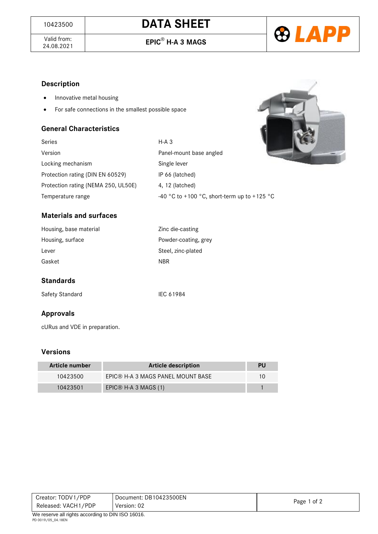

Valid from:<br>24.08.2021

24.08.2021 **EPIC**® **H-A 3 MAGS**



# **Description**

- Innovative metal housing
- For safe connections in the smallest possible space

#### **General Characteristics**



| Series                              | $H-A$ 3                                     |
|-------------------------------------|---------------------------------------------|
| Version                             | Panel-mount base angled                     |
| Locking mechanism                   | Single lever                                |
| Protection rating (DIN EN 60529)    | IP 66 (latched)                             |
| Protection rating (NEMA 250, UL50E) | 4, 12 (latched)                             |
| Temperature range                   | -40 °C to +100 °C, short-term up to +125 °C |

## **Materials and surfaces**

| Zinc die-casting     |
|----------------------|
| Powder-coating, grev |
| Steel, zinc-plated   |
| <b>NBR</b>           |
|                      |

## **Standards**

Safety Standard IEC 61984

## **Approvals**

cURus and VDE in preparation.

## **Versions**

| Article number | <b>Article description</b>        | PU |
|----------------|-----------------------------------|----|
| 10423500       | EPIC® H-A 3 MAGS PANEL MOUNT BASE |    |
| 10423501       | EPIC® H-A 3 MAGS $(1)$            |    |

| Creator: TODV1/PDP                                  | Document: DB10423500EN |             |  |
|-----------------------------------------------------|------------------------|-------------|--|
| Released: VACH1/PDP                                 | Version: 02            | Page 1 of 2 |  |
| $M_0$ reserve all rights according to DIN ICO 16016 |                        |             |  |